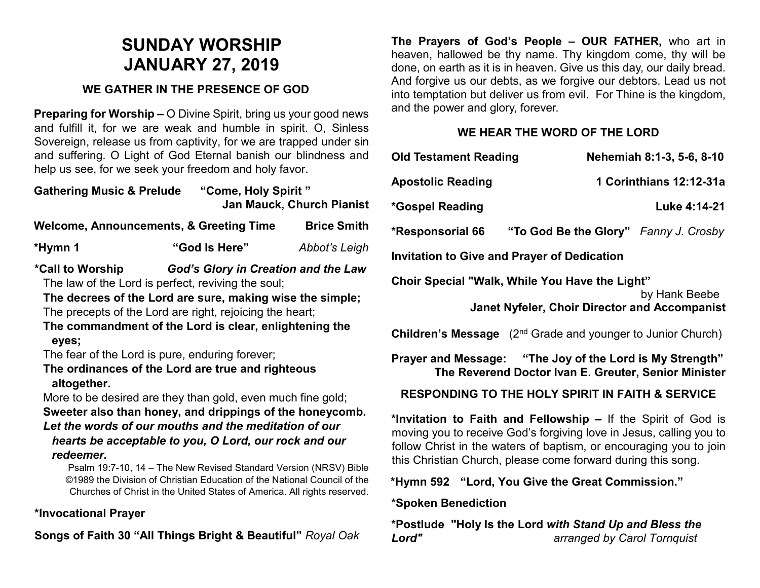# **SUNDAY WORSHIP JANUARY 27, 2019**

## **WE GATHER IN THE PRESENCE OF GOD**

**Preparing for Worship –** O Divine Spirit, bring us your good news and fulfill it, for we are weak and humble in spirit. O, Sinless Sovereign, release us from captivity, for we are trapped under sin and suffering. O Light of God Eternal banish our blindness and help us see, for we seek your freedom and holy favor.

| <b>Gathering Music &amp; Prelude</b> | "Come, Holy Spirit"              |
|--------------------------------------|----------------------------------|
|                                      | <b>Jan Mauck, Church Pianist</b> |

| Welcome, Announcements, & Greeting Time |               | <b>Brice Smith</b> |
|-----------------------------------------|---------------|--------------------|
| *Hymn 1                                 | "God Is Here" | Abbot's Leigh      |

**\*Call to Worship** *God's Glory in Creation and the Law* The law of the Lord is perfect, reviving the soul;

**The decrees of the Lord are sure, making wise the simple;** The precepts of the Lord are right, rejoicing the heart;

**The commandment of the Lord is clear, enlightening the eyes;**

The fear of the Lord is pure, enduring forever;

**The ordinances of the Lord are true and righteous altogether.**

More to be desired are they than gold, even much fine gold; **Sweeter also than honey, and drippings of the honeycomb.** *Let the words of our mouths and the meditation of our hearts be acceptable to you, O Lord, our rock and our redeemer.*

Psalm 19:7-10, 14 – The New Revised Standard Version (NRSV) Bible ©1989 the Division of Christian Education of the National Council of the Churches of Christ in the United States of America. All rights reserved.

## **\*Invocational Prayer**

**Songs of Faith 30 "All Things Bright & Beautiful"** *Royal Oak*

**The Prayers of God's People – OUR FATHER,** who art in heaven, hallowed be thy name. Thy kingdom come, thy will be done, on earth as it is in heaven. Give us this day, our daily bread. And forgive us our debts, as we forgive our debtors. Lead us not into temptation but deliver us from evil. For Thine is the kingdom, and the power and glory, forever.

## **WE HEAR THE WORD OF THE LORD**

| <b>Old Testament Reading</b>                                                                                                                                                                                                                                               | Nehemiah 8:1-3, 5-6, 8-10             |  |
|----------------------------------------------------------------------------------------------------------------------------------------------------------------------------------------------------------------------------------------------------------------------------|---------------------------------------|--|
| <b>Apostolic Reading</b>                                                                                                                                                                                                                                                   | 1 Corinthians 12:12-31a               |  |
| *Gospel Reading                                                                                                                                                                                                                                                            | Luke 4:14-21                          |  |
| *Responsorial 66                                                                                                                                                                                                                                                           | "To God Be the Glory" Fanny J. Crosby |  |
| <b>Invitation to Give and Prayer of Dedication</b>                                                                                                                                                                                                                         |                                       |  |
| Choir Special "Walk, While You Have the Light"<br>by Hank Beebe<br><b>Janet Nyfeler, Choir Director and Accompanist</b>                                                                                                                                                    |                                       |  |
| <b>Children's Message</b> (2 <sup>nd</sup> Grade and younger to Junior Church)                                                                                                                                                                                             |                                       |  |
| Prayer and Message: "The Joy of the Lord is My Strength"<br>The Reverend Doctor Ivan E. Greuter, Senior Minister                                                                                                                                                           |                                       |  |
| <b>RESPONDING TO THE HOLY SPIRIT IN FAITH &amp; SERVICE</b>                                                                                                                                                                                                                |                                       |  |
| *Invitation to Faith and Fellowship – If the Spirit of God is<br>moving you to receive God's forgiving love in Jesus, calling you to<br>follow Christ in the waters of baptism, or encouraging you to join<br>this Christian Church, please come forward during this song. |                                       |  |

**\*Hymn 592 "Lord, You Give the Great Commission."** 

## **\*Spoken Benediction**

**\*Postlude "Holy Is the Lord** *with Stand Up and Bless the Lord" arranged by Carol Tornquist*